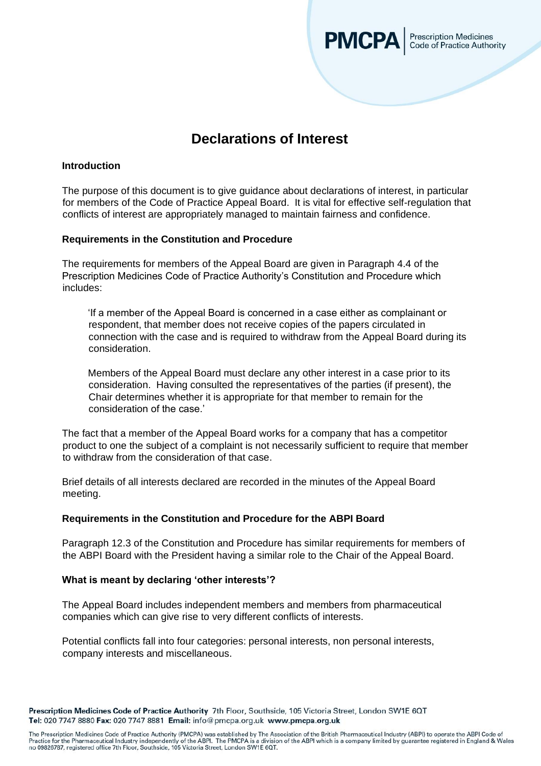

# **Declarations of Interest**

## **Introduction**

The purpose of this document is to give guidance about declarations of interest, in particular for members of the Code of Practice Appeal Board. It is vital for effective self-regulation that conflicts of interest are appropriately managed to maintain fairness and confidence.

## **Requirements in the Constitution and Procedure**

The requirements for members of the Appeal Board are given in Paragraph 4.4 of the Prescription Medicines Code of Practice Authority's Constitution and Procedure which includes:

'If a member of the Appeal Board is concerned in a case either as complainant or respondent, that member does not receive copies of the papers circulated in connection with the case and is required to withdraw from the Appeal Board during its consideration.

Members of the Appeal Board must declare any other interest in a case prior to its consideration. Having consulted the representatives of the parties (if present), the Chair determines whether it is appropriate for that member to remain for the consideration of the case.'

The fact that a member of the Appeal Board works for a company that has a competitor product to one the subject of a complaint is not necessarily sufficient to require that member to withdraw from the consideration of that case.

Brief details of all interests declared are recorded in the minutes of the Appeal Board meeting.

## **Requirements in the Constitution and Procedure for the ABPI Board**

Paragraph 12.3 of the Constitution and Procedure has similar requirements for members of the ABPI Board with the President having a similar role to the Chair of the Appeal Board.

## **What is meant by declaring 'other interests'?**

The Appeal Board includes independent members and members from pharmaceutical companies which can give rise to very different conflicts of interests.

Potential conflicts fall into four categories: personal interests, non personal interests, company interests and miscellaneous.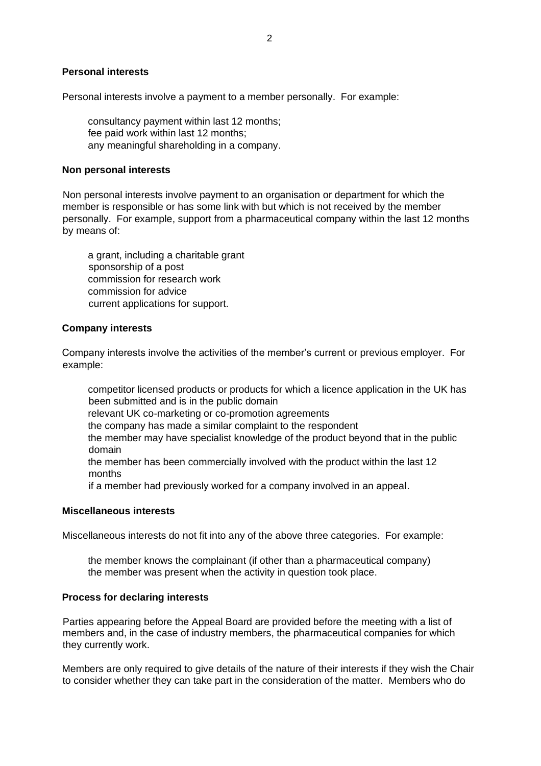#### **Personal interests**

Personal interests involve a payment to a member personally. For example:

consultancy payment within last 12 months; fee paid work within last 12 months; any meaningful shareholding in a company.

## **Non personal interests**

Non personal interests involve payment to an organisation or department for which the member is responsible or has some link with but which is not received by the member personally. For example, support from a pharmaceutical company within the last 12 months by means of:

a grant, including a charitable grant sponsorship of a post commission for research work commission for advice current applications for support.

### **Company interests**

Company interests involve the activities of the member's current or previous employer. For example:

competitor licensed products or products for which a licence application in the UK has been submitted and is in the public domain

relevant UK co-marketing or co-promotion agreements

the company has made a similar complaint to the respondent

the member may have specialist knowledge of the product beyond that in the public domain

the member has been commercially involved with the product within the last 12 months

if a member had previously worked for a company involved in an appeal.

#### **Miscellaneous interests**

Miscellaneous interests do not fit into any of the above three categories. For example:

the member knows the complainant (if other than a pharmaceutical company) the member was present when the activity in question took place.

#### **Process for declaring interests**

Parties appearing before the Appeal Board are provided before the meeting with a list of members and, in the case of industry members, the pharmaceutical companies for which they currently work.

Members are only required to give details of the nature of their interests if they wish the Chair to consider whether they can take part in the consideration of the matter. Members who do